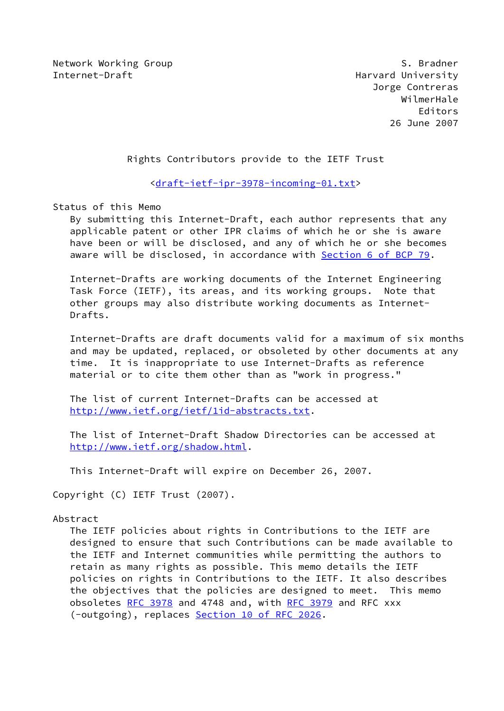Network Working Group S. Bradner Internet-Draft **Harvard University** 

 Jorge Contreras WilmerHale Editors 26 June 2007

Rights Contributors provide to the IETF Trust

<[draft-ietf-ipr-3978-incoming-01.txt](https://datatracker.ietf.org/doc/pdf/draft-ietf-ipr-3978-incoming-01.txt)>

Status of this Memo

 By submitting this Internet-Draft, each author represents that any applicable patent or other IPR claims of which he or she is aware have been or will be disclosed, and any of which he or she becomes aware will be disclosed, in accordance with Section [6 of BCP 79.](https://datatracker.ietf.org/doc/pdf/bcp79#section-6)

 Internet-Drafts are working documents of the Internet Engineering Task Force (IETF), its areas, and its working groups. Note that other groups may also distribute working documents as Internet- Drafts.

 Internet-Drafts are draft documents valid for a maximum of six months and may be updated, replaced, or obsoleted by other documents at any time. It is inappropriate to use Internet-Drafts as reference material or to cite them other than as "work in progress."

 The list of current Internet-Drafts can be accessed at <http://www.ietf.org/ietf/1id-abstracts.txt>.

 The list of Internet-Draft Shadow Directories can be accessed at <http://www.ietf.org/shadow.html>.

This Internet-Draft will expire on December 26, 2007.

Copyright (C) IETF Trust (2007).

### Abstract

 The IETF policies about rights in Contributions to the IETF are designed to ensure that such Contributions can be made available to the IETF and Internet communities while permitting the authors to retain as many rights as possible. This memo details the IETF policies on rights in Contributions to the IETF. It also describes the objectives that the policies are designed to meet. This memo obsoletes [RFC 3978](https://datatracker.ietf.org/doc/pdf/rfc3978) and 4748 and, with [RFC 3979](https://datatracker.ietf.org/doc/pdf/rfc3979) and RFC xxx (-outgoing), replaces Section [10 of RFC 2026](https://datatracker.ietf.org/doc/pdf/rfc2026#section-10).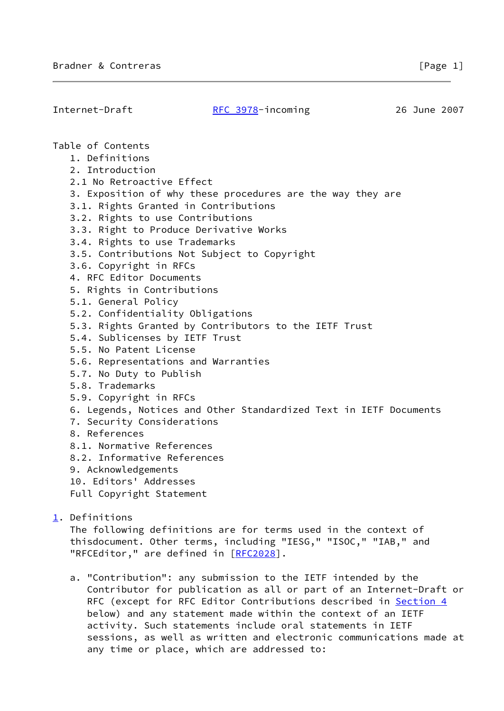| Internet-Draft                                                 | RFC 3978-incoming                                                 | 26 June 2007 |  |  |
|----------------------------------------------------------------|-------------------------------------------------------------------|--------------|--|--|
|                                                                |                                                                   |              |  |  |
| Table of Contents                                              |                                                                   |              |  |  |
| 1. Definitions                                                 |                                                                   |              |  |  |
| 2. Introduction                                                |                                                                   |              |  |  |
| 2.1 No Retroactive Effect                                      |                                                                   |              |  |  |
|                                                                | 3. Exposition of why these procedures are the way they are        |              |  |  |
| 3.1. Rights Granted in Contributions                           |                                                                   |              |  |  |
| 3.2. Rights to use Contributions                               |                                                                   |              |  |  |
| 3.3. Right to Produce Derivative Works                         |                                                                   |              |  |  |
| 3.4. Rights to use Trademarks                                  |                                                                   |              |  |  |
|                                                                | 3.5. Contributions Not Subject to Copyright                       |              |  |  |
| 3.6. Copyright in RFCs                                         |                                                                   |              |  |  |
| 4. RFC Editor Documents                                        |                                                                   |              |  |  |
| 5. Rights in Contributions                                     |                                                                   |              |  |  |
| 5.1. General Policy                                            |                                                                   |              |  |  |
| 5.2. Confidentiality Obligations                               |                                                                   |              |  |  |
|                                                                | 5.3. Rights Granted by Contributors to the IETF Trust             |              |  |  |
| 5.4. Sublicenses by IETF Trust                                 |                                                                   |              |  |  |
| 5.5. No Patent License                                         |                                                                   |              |  |  |
| 5.6. Representations and Warranties                            |                                                                   |              |  |  |
| 5.7. No Duty to Publish                                        |                                                                   |              |  |  |
| 5.8. Trademarks                                                |                                                                   |              |  |  |
| 5.9. Copyright in RFCs                                         |                                                                   |              |  |  |
|                                                                | 6. Legends, Notices and Other Standardized Text in IETF Documents |              |  |  |
| 7. Security Considerations                                     |                                                                   |              |  |  |
| 8. References                                                  |                                                                   |              |  |  |
| 8.1. Normative References                                      |                                                                   |              |  |  |
| 8.2. Informative References                                    |                                                                   |              |  |  |
| 9. Acknowledgements                                            |                                                                   |              |  |  |
| 10. Editors' Addresses                                         |                                                                   |              |  |  |
| Full Copyright Statement                                       |                                                                   |              |  |  |
| 1. Definitions                                                 |                                                                   |              |  |  |
| The following definitions are for terms used in the context of |                                                                   |              |  |  |
|                                                                | thisdocument. Other terms, including "IESG," "ISOC," "IAB," and   |              |  |  |

 a. "Contribution": any submission to the IETF intended by the Contributor for publication as all or part of an Internet-Draft or RFC (except for RFC Editor Contributions described in [Section 4](#page-8-0) below) and any statement made within the context of an IETF activity. Such statements include oral statements in IETF sessions, as well as written and electronic communications made at any time or place, which are addressed to:

<span id="page-1-0"></span>"RFCEditor," are defined in [\[RFC2028](https://datatracker.ietf.org/doc/pdf/rfc2028)].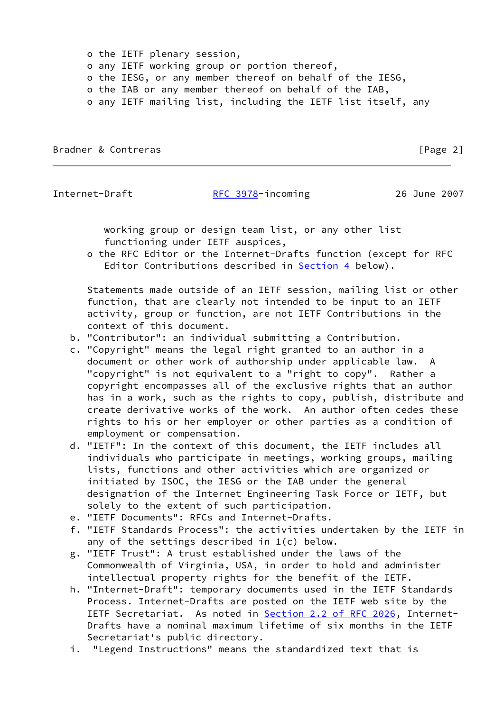o the IETF plenary session, o any IETF working group or portion thereof, o the IESG, or any member thereof on behalf of the IESG, o the IAB or any member thereof on behalf of the IAB, o any IETF mailing list, including the IETF list itself, any

Bradner & Contreras **Executive Contrelation** Security 2 and 2 and 2 and 2 and 2 and 2 and 2 and 2 and 2 and 2 and 2 and 2 and 2 and 2 and 2 and 2 and 2 and 2 and 2 and 2 and 2 and 2 and 2 and 2 and 2 and 2 and 2 and 2 and

### Internet-Draft [RFC 3978](https://datatracker.ietf.org/doc/pdf/rfc3978)-incoming 26 June 2007

 working group or design team list, or any other list functioning under IETF auspices,

 o the RFC Editor or the Internet-Drafts function (except for RFC Editor Contributions described in [Section 4](#page-8-0) below).

 Statements made outside of an IETF session, mailing list or other function, that are clearly not intended to be input to an IETF activity, group or function, are not IETF Contributions in the context of this document.

- b. "Contributor": an individual submitting a Contribution.
- c. "Copyright" means the legal right granted to an author in a document or other work of authorship under applicable law. A "copyright" is not equivalent to a "right to copy". Rather a copyright encompasses all of the exclusive rights that an author has in a work, such as the rights to copy, publish, distribute and create derivative works of the work. An author often cedes these rights to his or her employer or other parties as a condition of employment or compensation.
- d. "IETF": In the context of this document, the IETF includes all individuals who participate in meetings, working groups, mailing lists, functions and other activities which are organized or initiated by ISOC, the IESG or the IAB under the general designation of the Internet Engineering Task Force or IETF, but solely to the extent of such participation.
- e. "IETF Documents": RFCs and Internet-Drafts.
- f. "IETF Standards Process": the activities undertaken by the IETF in any of the settings described in 1(c) below.
- g. "IETF Trust": A trust established under the laws of the Commonwealth of Virginia, USA, in order to hold and administer intellectual property rights for the benefit of the IETF.
- h. "Internet-Draft": temporary documents used in the IETF Standards Process. Internet-Drafts are posted on the IETF web site by the IETF Secretariat. As noted in Section [2.2 of RFC 2026](https://datatracker.ietf.org/doc/pdf/rfc2026#section-2.2), Internet- Drafts have a nominal maximum lifetime of six months in the IETF Secretariat's public directory.
- i. "Legend Instructions" means the standardized text that is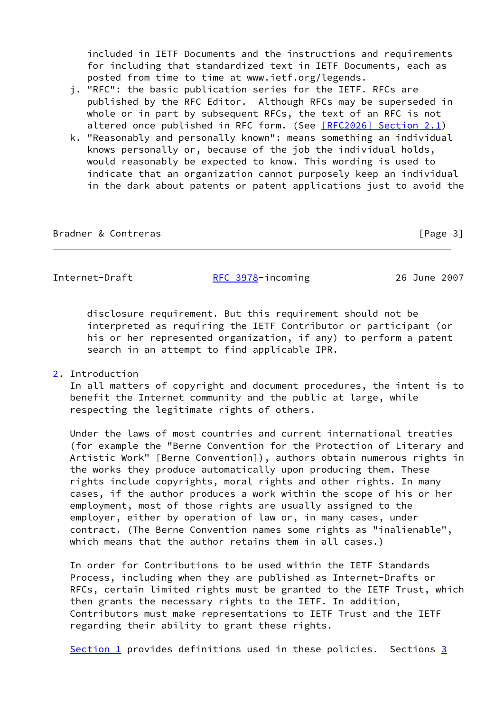included in IETF Documents and the instructions and requirements for including that standardized text in IETF Documents, each as posted from time to time at www.ietf.org/legends.

- j. "RFC": the basic publication series for the IETF. RFCs are published by the RFC Editor. Although RFCs may be superseded in whole or in part by subsequent RFCs, the text of an RFC is not altered once published in RFC form. (See [\[RFC2026\] Section](https://datatracker.ietf.org/doc/pdf/rfc2026#section-2.1) 2.1)
- k. "Reasonably and personally known": means something an individual knows personally or, because of the job the individual holds, would reasonably be expected to know. This wording is used to indicate that an organization cannot purposely keep an individual in the dark about patents or patent applications just to avoid the

Bradner & Contreras **Exercía Exercía Exercía Exercía Exercía E** Page 3]

Internet-Draft [RFC 3978](https://datatracker.ietf.org/doc/pdf/rfc3978)-incoming 26 June 2007

 disclosure requirement. But this requirement should not be interpreted as requiring the IETF Contributor or participant (or his or her represented organization, if any) to perform a patent search in an attempt to find applicable IPR.

# <span id="page-3-0"></span>[2](#page-3-0). Introduction

 In all matters of copyright and document procedures, the intent is to benefit the Internet community and the public at large, while respecting the legitimate rights of others.

 Under the laws of most countries and current international treaties (for example the "Berne Convention for the Protection of Literary and Artistic Work" [Berne Convention]), authors obtain numerous rights in the works they produce automatically upon producing them. These rights include copyrights, moral rights and other rights. In many cases, if the author produces a work within the scope of his or her employment, most of those rights are usually assigned to the employer, either by operation of law or, in many cases, under contract. (The Berne Convention names some rights as "inalienable", which means that the author retains them in all cases.)

 In order for Contributions to be used within the IETF Standards Process, including when they are published as Internet-Drafts or RFCs, certain limited rights must be granted to the IETF Trust, which then grants the necessary rights to the IETF. In addition, Contributors must make representations to IETF Trust and the IETF regarding their ability to grant these rights.

[Section 1](#page-1-0) provides definitions used in these policies. Sections  $3$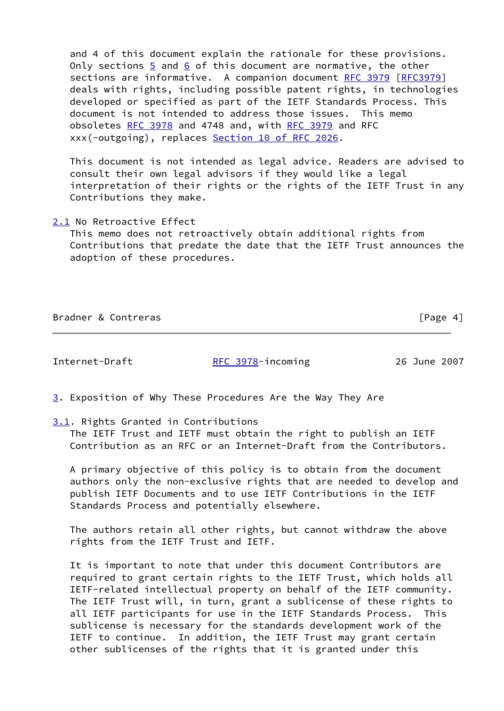and 4 of this document explain the rationale for these provisions. Only sections  $\frac{5}{9}$  and  $\frac{6}{9}$  of this document are normative, the other sections are informative. A companion document [RFC 3979](https://datatracker.ietf.org/doc/pdf/rfc3979) [\[RFC3979](https://datatracker.ietf.org/doc/pdf/rfc3979)] deals with rights, including possible patent rights, in technologies developed or specified as part of the IETF Standards Process. This document is not intended to address those issues. This memo obsoletes [RFC 3978](https://datatracker.ietf.org/doc/pdf/rfc3978) and 4748 and, with [RFC 3979](https://datatracker.ietf.org/doc/pdf/rfc3979) and RFC xxx(-outgoing), replaces Section [10 of RFC 2026](https://datatracker.ietf.org/doc/pdf/rfc2026#section-10).

 This document is not intended as legal advice. Readers are advised to consult their own legal advisors if they would like a legal interpretation of their rights or the rights of the IETF Trust in any Contributions they make.

<span id="page-4-1"></span>[2.1](#page-4-1) No Retroactive Effect

 This memo does not retroactively obtain additional rights from Contributions that predate the date that the IETF Trust announces the adoption of these procedures.

|  | Bradner & Contreras |
|--|---------------------|
|  |                     |

 $\lceil \text{Page 4} \rceil$ 

Internet-Draft [RFC 3978](https://datatracker.ietf.org/doc/pdf/rfc3978)-incoming 26 June 2007

<span id="page-4-0"></span>[3](#page-4-0). Exposition of Why These Procedures Are the Way They Are

<span id="page-4-2"></span>[3.1](#page-4-2). Rights Granted in Contributions

 The IETF Trust and IETF must obtain the right to publish an IETF Contribution as an RFC or an Internet-Draft from the Contributors.

 A primary objective of this policy is to obtain from the document authors only the non-exclusive rights that are needed to develop and publish IETF Documents and to use IETF Contributions in the IETF Standards Process and potentially elsewhere.

 The authors retain all other rights, but cannot withdraw the above rights from the IETF Trust and IETF.

 It is important to note that under this document Contributors are required to grant certain rights to the IETF Trust, which holds all IETF-related intellectual property on behalf of the IETF community. The IETF Trust will, in turn, grant a sublicense of these rights to all IETF participants for use in the IETF Standards Process. This sublicense is necessary for the standards development work of the IETF to continue. In addition, the IETF Trust may grant certain other sublicenses of the rights that it is granted under this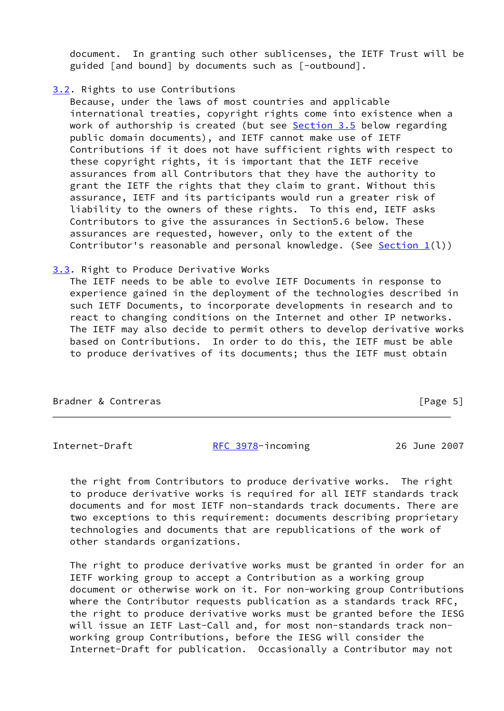document. In granting such other sublicenses, the IETF Trust will be guided [and bound] by documents such as [-outbound].

## <span id="page-5-0"></span>[3.2](#page-5-0). Rights to use Contributions

 Because, under the laws of most countries and applicable international treaties, copyright rights come into existence when a work of authorship is created (but see [Section 3.5](#page-7-0) below regarding public domain documents), and IETF cannot make use of IETF Contributions if it does not have sufficient rights with respect to these copyright rights, it is important that the IETF receive assurances from all Contributors that they have the authority to grant the IETF the rights that they claim to grant. Without this assurance, IETF and its participants would run a greater risk of liability to the owners of these rights. To this end, IETF asks Contributors to give the assurances in Section5.6 below. These assurances are requested, however, only to the extent of the Contributor's reasonable and personal knowledge. (See Section  $1(l)$ )

### <span id="page-5-1"></span>[3.3](#page-5-1). Right to Produce Derivative Works

 The IETF needs to be able to evolve IETF Documents in response to experience gained in the deployment of the technologies described in such IETF Documents, to incorporate developments in research and to react to changing conditions on the Internet and other IP networks. The IETF may also decide to permit others to develop derivative works based on Contributions. In order to do this, the IETF must be able to produce derivatives of its documents; thus the IETF must obtain

| Bradner & Contreras | [Page 5] |
|---------------------|----------|
|                     |          |

Internet-Draft [RFC 3978](https://datatracker.ietf.org/doc/pdf/rfc3978)-incoming 26 June 2007

 the right from Contributors to produce derivative works. The right to produce derivative works is required for all IETF standards track documents and for most IETF non-standards track documents. There are two exceptions to this requirement: documents describing proprietary technologies and documents that are republications of the work of other standards organizations.

 The right to produce derivative works must be granted in order for an IETF working group to accept a Contribution as a working group document or otherwise work on it. For non-working group Contributions where the Contributor requests publication as a standards track RFC, the right to produce derivative works must be granted before the IESG will issue an IETF Last-Call and, for most non-standards track non working group Contributions, before the IESG will consider the Internet-Draft for publication. Occasionally a Contributor may not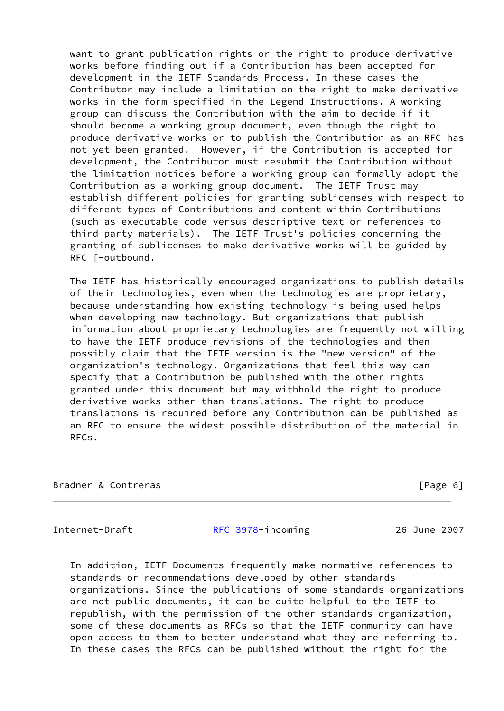want to grant publication rights or the right to produce derivative works before finding out if a Contribution has been accepted for development in the IETF Standards Process. In these cases the Contributor may include a limitation on the right to make derivative works in the form specified in the Legend Instructions. A working group can discuss the Contribution with the aim to decide if it should become a working group document, even though the right to produce derivative works or to publish the Contribution as an RFC has not yet been granted. However, if the Contribution is accepted for development, the Contributor must resubmit the Contribution without the limitation notices before a working group can formally adopt the Contribution as a working group document. The IETF Trust may establish different policies for granting sublicenses with respect to different types of Contributions and content within Contributions (such as executable code versus descriptive text or references to third party materials). The IETF Trust's policies concerning the granting of sublicenses to make derivative works will be guided by RFC [-outbound.

 The IETF has historically encouraged organizations to publish details of their technologies, even when the technologies are proprietary, because understanding how existing technology is being used helps when developing new technology. But organizations that publish information about proprietary technologies are frequently not willing to have the IETF produce revisions of the technologies and then possibly claim that the IETF version is the "new version" of the organization's technology. Organizations that feel this way can specify that a Contribution be published with the other rights granted under this document but may withhold the right to produce derivative works other than translations. The right to produce translations is required before any Contribution can be published as an RFC to ensure the widest possible distribution of the material in RFCs.

Bradner & Contreras [Page 6]

Internet-Draft [RFC 3978](https://datatracker.ietf.org/doc/pdf/rfc3978)-incoming 26 June 2007

 In addition, IETF Documents frequently make normative references to standards or recommendations developed by other standards organizations. Since the publications of some standards organizations are not public documents, it can be quite helpful to the IETF to republish, with the permission of the other standards organization, some of these documents as RFCs so that the IETF community can have open access to them to better understand what they are referring to. In these cases the RFCs can be published without the right for the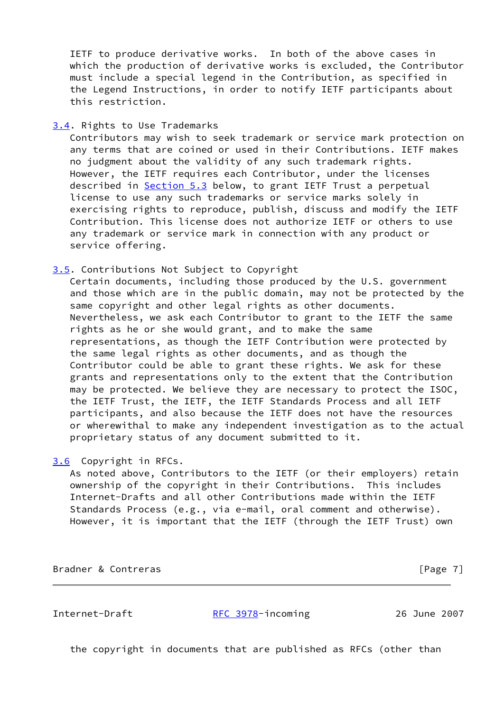IETF to produce derivative works. In both of the above cases in which the production of derivative works is excluded, the Contributor must include a special legend in the Contribution, as specified in the Legend Instructions, in order to notify IETF participants about this restriction.

<span id="page-7-1"></span>[3.4](#page-7-1). Rights to Use Trademarks

 Contributors may wish to seek trademark or service mark protection on any terms that are coined or used in their Contributions. IETF makes no judgment about the validity of any such trademark rights. However, the IETF requires each Contributor, under the licenses described in [Section 5.3](#page-9-0) below, to grant IETF Trust a perpetual license to use any such trademarks or service marks solely in exercising rights to reproduce, publish, discuss and modify the IETF Contribution. This license does not authorize IETF or others to use any trademark or service mark in connection with any product or service offering.

<span id="page-7-0"></span>[3.5](#page-7-0). Contributions Not Subject to Copyright

 Certain documents, including those produced by the U.S. government and those which are in the public domain, may not be protected by the same copyright and other legal rights as other documents. Nevertheless, we ask each Contributor to grant to the IETF the same rights as he or she would grant, and to make the same representations, as though the IETF Contribution were protected by the same legal rights as other documents, and as though the Contributor could be able to grant these rights. We ask for these grants and representations only to the extent that the Contribution may be protected. We believe they are necessary to protect the ISOC, the IETF Trust, the IETF, the IETF Standards Process and all IETF participants, and also because the IETF does not have the resources or wherewithal to make any independent investigation as to the actual proprietary status of any document submitted to it.

<span id="page-7-2"></span>[3.6](#page-7-2) Copyright in RFCs.

 As noted above, Contributors to the IETF (or their employers) retain ownership of the copyright in their Contributions. This includes Internet-Drafts and all other Contributions made within the IETF Standards Process (e.g., via e-mail, oral comment and otherwise). However, it is important that the IETF (through the IETF Trust) own

Bradner & Contreras **Executive Executive Contract** Frage 7]

Internet-Draft [RFC 3978](https://datatracker.ietf.org/doc/pdf/rfc3978)-incoming 26 June 2007

the copyright in documents that are published as RFCs (other than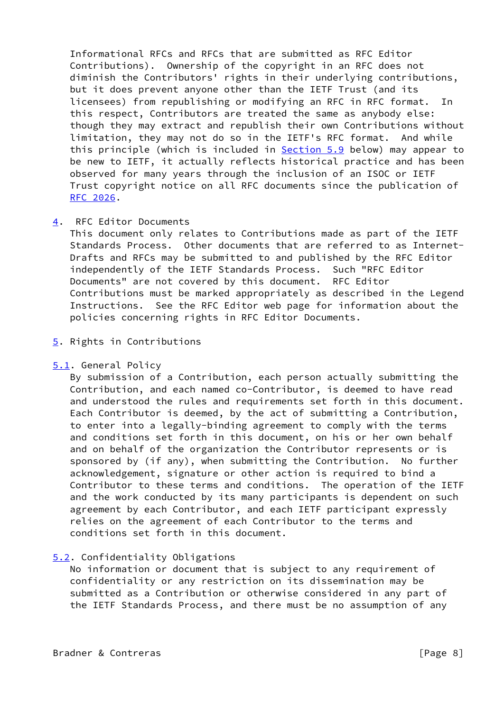Informational RFCs and RFCs that are submitted as RFC Editor Contributions). Ownership of the copyright in an RFC does not diminish the Contributors' rights in their underlying contributions, but it does prevent anyone other than the IETF Trust (and its licensees) from republishing or modifying an RFC in RFC format. In this respect, Contributors are treated the same as anybody else: though they may extract and republish their own Contributions without limitation, they may not do so in the IETF's RFC format. And while this principle (which is included in [Section 5.9](#page-10-0) below) may appear to be new to IETF, it actually reflects historical practice and has been observed for many years through the inclusion of an ISOC or IETF Trust copyright notice on all RFC documents since the publication of [RFC 2026](https://datatracker.ietf.org/doc/pdf/rfc2026).

## <span id="page-8-0"></span>[4](#page-8-0). RFC Editor Documents

 This document only relates to Contributions made as part of the IETF Standards Process. Other documents that are referred to as Internet- Drafts and RFCs may be submitted to and published by the RFC Editor independently of the IETF Standards Process. Such "RFC Editor Documents" are not covered by this document. RFC Editor Contributions must be marked appropriately as described in the Legend Instructions. See the RFC Editor web page for information about the policies concerning rights in RFC Editor Documents.

# <span id="page-8-1"></span>[5](#page-8-1). Rights in Contributions

## <span id="page-8-2"></span>[5.1](#page-8-2). General Policy

 By submission of a Contribution, each person actually submitting the Contribution, and each named co-Contributor, is deemed to have read and understood the rules and requirements set forth in this document. Each Contributor is deemed, by the act of submitting a Contribution, to enter into a legally-binding agreement to comply with the terms and conditions set forth in this document, on his or her own behalf and on behalf of the organization the Contributor represents or is sponsored by (if any), when submitting the Contribution. No further acknowledgement, signature or other action is required to bind a Contributor to these terms and conditions. The operation of the IETF and the work conducted by its many participants is dependent on such agreement by each Contributor, and each IETF participant expressly relies on the agreement of each Contributor to the terms and conditions set forth in this document.

# <span id="page-8-3"></span>[5.2](#page-8-3). Confidentiality Obligations

 No information or document that is subject to any requirement of confidentiality or any restriction on its dissemination may be submitted as a Contribution or otherwise considered in any part of the IETF Standards Process, and there must be no assumption of any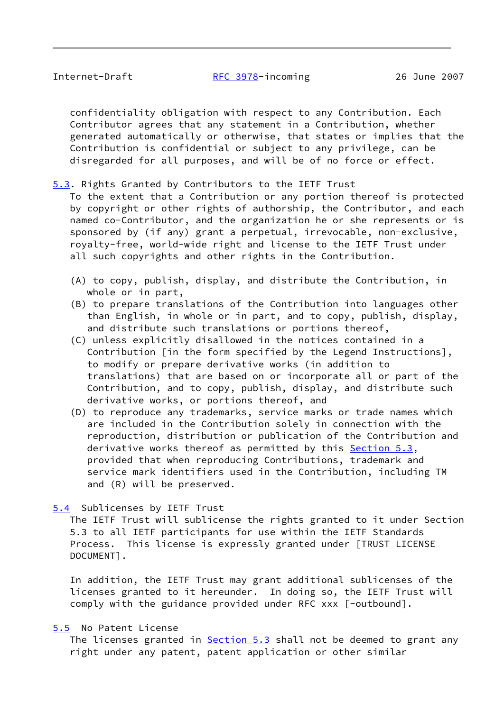confidentiality obligation with respect to any Contribution. Each Contributor agrees that any statement in a Contribution, whether generated automatically or otherwise, that states or implies that the Contribution is confidential or subject to any privilege, can be disregarded for all purposes, and will be of no force or effect.

<span id="page-9-0"></span>[5.3](#page-9-0). Rights Granted by Contributors to the IETF Trust

 To the extent that a Contribution or any portion thereof is protected by copyright or other rights of authorship, the Contributor, and each named co-Contributor, and the organization he or she represents or is sponsored by (if any) grant a perpetual, irrevocable, non-exclusive, royalty-free, world-wide right and license to the IETF Trust under all such copyrights and other rights in the Contribution.

- (A) to copy, publish, display, and distribute the Contribution, in whole or in part,
- (B) to prepare translations of the Contribution into languages other than English, in whole or in part, and to copy, publish, display, and distribute such translations or portions thereof,
- (C) unless explicitly disallowed in the notices contained in a Contribution [in the form specified by the Legend Instructions], to modify or prepare derivative works (in addition to translations) that are based on or incorporate all or part of the Contribution, and to copy, publish, display, and distribute such derivative works, or portions thereof, and
- (D) to reproduce any trademarks, service marks or trade names which are included in the Contribution solely in connection with the reproduction, distribution or publication of the Contribution and derivative works thereof as permitted by this [Section 5.3](#page-9-0), provided that when reproducing Contributions, trademark and service mark identifiers used in the Contribution, including TM and (R) will be preserved.

## <span id="page-9-1"></span>[5.4](#page-9-1) Sublicenses by IETF Trust

 The IETF Trust will sublicense the rights granted to it under Section 5.3 to all IETF participants for use within the IETF Standards Process. This license is expressly granted under [TRUST LICENSE DOCUMENT].

 In addition, the IETF Trust may grant additional sublicenses of the licenses granted to it hereunder. In doing so, the IETF Trust will comply with the guidance provided under RFC xxx [-outbound].

## <span id="page-9-2"></span>[5.5](#page-9-2) No Patent License

The licenses granted in **Section 5.3** shall not be deemed to grant any right under any patent, patent application or other similar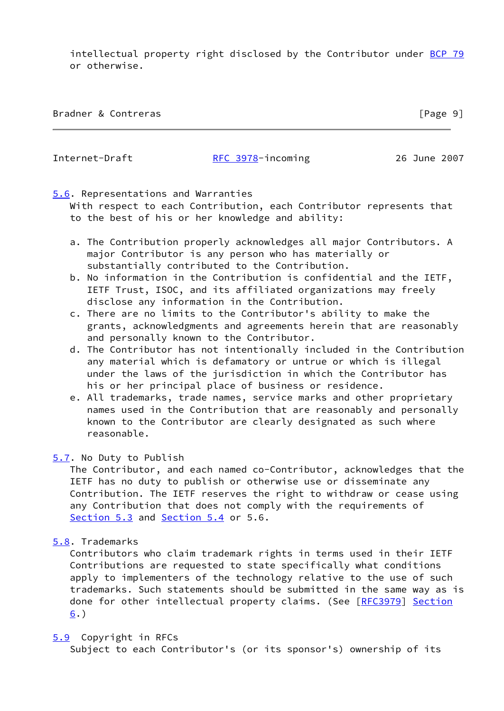intellectual property right disclosed by the Contributor under [BCP 79](https://datatracker.ietf.org/doc/pdf/bcp79) or otherwise.

| Bradner & Contreras | [Page 9] |
|---------------------|----------|
|---------------------|----------|

#### Internet-Draft [RFC 3978](https://datatracker.ietf.org/doc/pdf/rfc3978)-incoming 26 June 2007

# <span id="page-10-1"></span>[5.6](#page-10-1). Representations and Warranties

 With respect to each Contribution, each Contributor represents that to the best of his or her knowledge and ability:

- a. The Contribution properly acknowledges all major Contributors. A major Contributor is any person who has materially or substantially contributed to the Contribution.
- b. No information in the Contribution is confidential and the IETF, IETF Trust, ISOC, and its affiliated organizations may freely disclose any information in the Contribution.
- c. There are no limits to the Contributor's ability to make the grants, acknowledgments and agreements herein that are reasonably and personally known to the Contributor.
- d. The Contributor has not intentionally included in the Contribution any material which is defamatory or untrue or which is illegal under the laws of the jurisdiction in which the Contributor has his or her principal place of business or residence.
- e. All trademarks, trade names, service marks and other proprietary names used in the Contribution that are reasonably and personally known to the Contributor are clearly designated as such where reasonable.

### <span id="page-10-2"></span>[5.7](#page-10-2). No Duty to Publish

 The Contributor, and each named co-Contributor, acknowledges that the IETF has no duty to publish or otherwise use or disseminate any Contribution. The IETF reserves the right to withdraw or cease using any Contribution that does not comply with the requirements of [Section 5.3](#page-9-0) and [Section 5.4](#page-9-1) or 5.6.

<span id="page-10-3"></span>[5.8](#page-10-3). Trademarks

 Contributors who claim trademark rights in terms used in their IETF Contributions are requested to state specifically what conditions apply to implementers of the technology relative to the use of such trademarks. Such statements should be submitted in the same way as is done for other intellectual property claims. (See [[RFC3979](https://datatracker.ietf.org/doc/pdf/rfc3979)] [Section](#page-11-0)  $6.$  $6.$ 

## <span id="page-10-0"></span>[5.9](#page-10-0) Copyright in RFCs

Subject to each Contributor's (or its sponsor's) ownership of its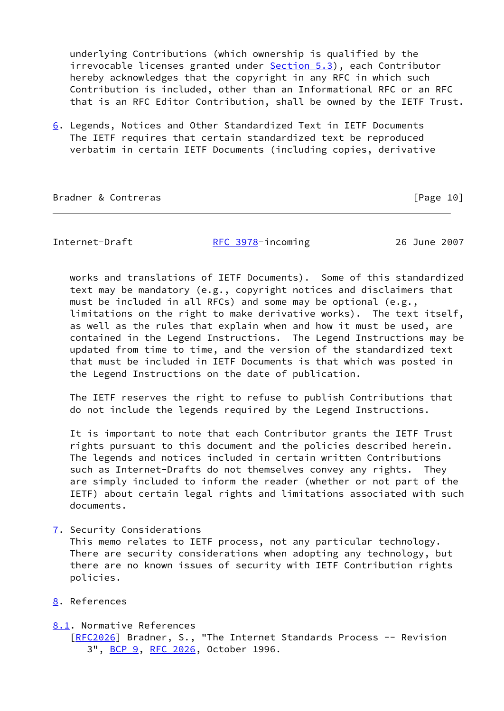underlying Contributions (which ownership is qualified by the irrevocable licenses granted under **[Section 5.3](#page-9-0)**), each Contributor hereby acknowledges that the copyright in any RFC in which such Contribution is included, other than an Informational RFC or an RFC that is an RFC Editor Contribution, shall be owned by the IETF Trust.

<span id="page-11-0"></span>[6](#page-11-0). Legends, Notices and Other Standardized Text in IETF Documents The IETF requires that certain standardized text be reproduced verbatim in certain IETF Documents (including copies, derivative

Bradner & Contreras [Page 10]

Internet-Draft [RFC 3978](https://datatracker.ietf.org/doc/pdf/rfc3978)-incoming 26 June 2007

 works and translations of IETF Documents). Some of this standardized text may be mandatory (e.g., copyright notices and disclaimers that must be included in all RFCs) and some may be optional (e.g., limitations on the right to make derivative works). The text itself, as well as the rules that explain when and how it must be used, are contained in the Legend Instructions. The Legend Instructions may be updated from time to time, and the version of the standardized text that must be included in IETF Documents is that which was posted in the Legend Instructions on the date of publication.

 The IETF reserves the right to refuse to publish Contributions that do not include the legends required by the Legend Instructions.

 It is important to note that each Contributor grants the IETF Trust rights pursuant to this document and the policies described herein. The legends and notices included in certain written Contributions such as Internet-Drafts do not themselves convey any rights. They are simply included to inform the reader (whether or not part of the IETF) about certain legal rights and limitations associated with such documents.

<span id="page-11-1"></span>[7](#page-11-1). Security Considerations

 This memo relates to IETF process, not any particular technology. There are security considerations when adopting any technology, but there are no known issues of security with IETF Contribution rights policies.

<span id="page-11-2"></span>[8](#page-11-2). References

## <span id="page-11-3"></span>[8.1](#page-11-3). Normative References

[\[RFC2026](https://datatracker.ietf.org/doc/pdf/rfc2026)] Bradner, S., "The Internet Standards Process -- Revision 3", [BCP 9,](https://datatracker.ietf.org/doc/pdf/bcp9) [RFC 2026](https://datatracker.ietf.org/doc/pdf/rfc2026), October 1996.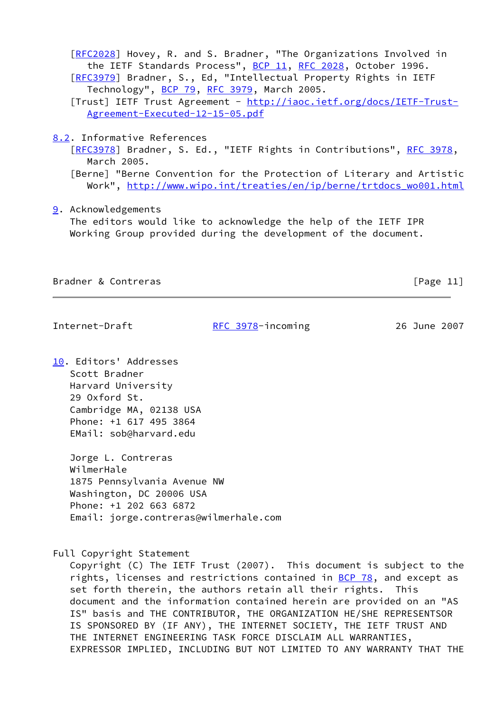[\[RFC2028](https://datatracker.ietf.org/doc/pdf/rfc2028)] Hovey, R. and S. Bradner, "The Organizations Involved in the IETF Standards Process", [BCP 11](https://datatracker.ietf.org/doc/pdf/bcp11), [RFC 2028](https://datatracker.ietf.org/doc/pdf/rfc2028), October 1996. [\[RFC3979](https://datatracker.ietf.org/doc/pdf/rfc3979)] Bradner, S., Ed, "Intellectual Property Rights in IETF Technology", [BCP 79](https://datatracker.ietf.org/doc/pdf/bcp79), [RFC 3979](https://datatracker.ietf.org/doc/pdf/rfc3979), March 2005. [Trust] IETF Trust Agreement - [http://iaoc.ietf.org/docs/IETF-Trust-](http://iaoc.ietf.org/docs/IETF-Trust-Agreement-Executed-12-15-05.pdf) [Agreement-Executed-12-15-05.pdf](http://iaoc.ietf.org/docs/IETF-Trust-Agreement-Executed-12-15-05.pdf)

<span id="page-12-0"></span>[8.2](#page-12-0). Informative References

[\[RFC3978](https://datatracker.ietf.org/doc/pdf/rfc3978)] Bradner, S. Ed., "IETF Rights in Contributions", [RFC 3978,](https://datatracker.ietf.org/doc/pdf/rfc3978) March 2005.

 [Berne] "Berne Convention for the Protection of Literary and Artistic Work", [http://www.wipo.int/treaties/en/ip/berne/trtdocs\\_wo001.html](http://www.wipo.int/treaties/en/ip/berne/trtdocs_wo001.html)

<span id="page-12-1"></span>[9](#page-12-1). Acknowledgements

 The editors would like to acknowledge the help of the IETF IPR Working Group provided during the development of the document.

Bradner & Contreras [Page 11]

Internet-Draft [RFC 3978](https://datatracker.ietf.org/doc/pdf/rfc3978)-incoming 26 June 2007

<span id="page-12-2"></span>[10.](#page-12-2) Editors' Addresses Scott Bradner Harvard University 29 Oxford St. Cambridge MA, 02138 USA Phone: +1 617 495 3864 EMail: sob@harvard.edu

> Jorge L. Contreras WilmerHale 1875 Pennsylvania Avenue NW Washington, DC 20006 USA Phone: +1 202 663 6872 Email: jorge.contreras@wilmerhale.com

Full Copyright Statement

 Copyright (C) The IETF Trust (2007). This document is subject to the rights, licenses and restrictions contained in  $BCP$  78, and except as set forth therein, the authors retain all their rights. This document and the information contained herein are provided on an "AS IS" basis and THE CONTRIBUTOR, THE ORGANIZATION HE/SHE REPRESENTSOR IS SPONSORED BY (IF ANY), THE INTERNET SOCIETY, THE IETF TRUST AND THE INTERNET ENGINEERING TASK FORCE DISCLAIM ALL WARRANTIES, EXPRESSOR IMPLIED, INCLUDING BUT NOT LIMITED TO ANY WARRANTY THAT THE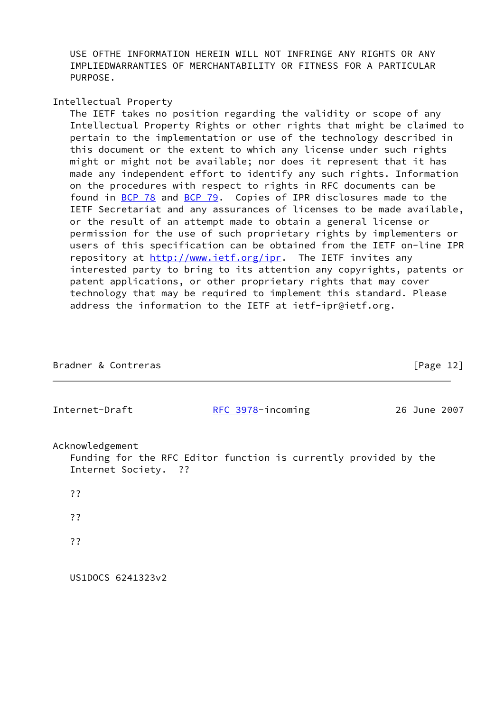USE OFTHE INFORMATION HEREIN WILL NOT INFRINGE ANY RIGHTS OR ANY IMPLIEDWARRANTIES OF MERCHANTABILITY OR FITNESS FOR A PARTICULAR PURPOSE.

Intellectual Property

 The IETF takes no position regarding the validity or scope of any Intellectual Property Rights or other rights that might be claimed to pertain to the implementation or use of the technology described in this document or the extent to which any license under such rights might or might not be available; nor does it represent that it has made any independent effort to identify any such rights. Information on the procedures with respect to rights in RFC documents can be found in [BCP 78](https://datatracker.ietf.org/doc/pdf/bcp78) and [BCP 79](https://datatracker.ietf.org/doc/pdf/bcp79). Copies of IPR disclosures made to the IETF Secretariat and any assurances of licenses to be made available, or the result of an attempt made to obtain a general license or permission for the use of such proprietary rights by implementers or users of this specification can be obtained from the IETF on-line IPR repository at<http://www.ietf.org/ipr>. The IETF invites any interested party to bring to its attention any copyrights, patents or patent applications, or other proprietary rights that may cover technology that may be required to implement this standard. Please address the information to the IETF at ietf-ipr@ietf.org.

| Bradner & Contreras                     |                                                                  | [Page 12]    |
|-----------------------------------------|------------------------------------------------------------------|--------------|
| Internet-Draft                          | RFC 3978-incoming                                                | 26 June 2007 |
| Acknowledgement<br>Internet Society. ?? | Funding for the RFC Editor function is currently provided by the |              |
| ??                                      |                                                                  |              |
| ??                                      |                                                                  |              |
| ??                                      |                                                                  |              |
| US1DOCS 6241323v2                       |                                                                  |              |